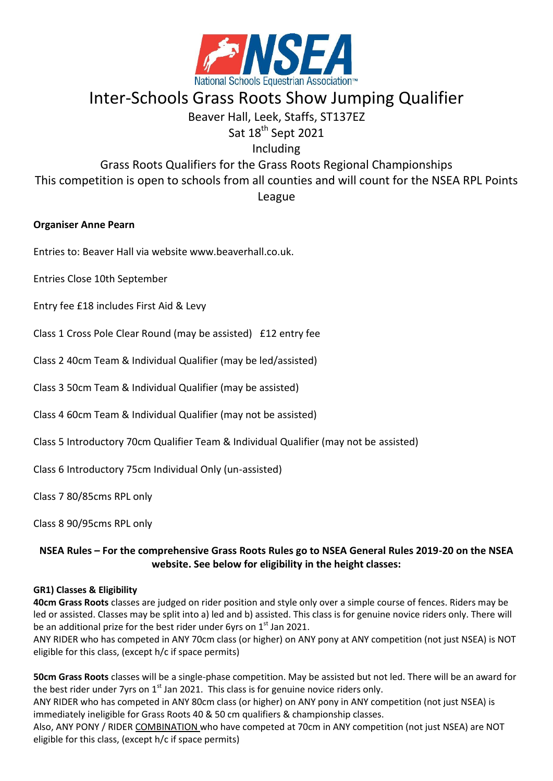

# Inter-Schools Grass Roots Show Jumping Qualifier

# Beaver Hall, Leek, Staffs, ST137EZ

Sat 18<sup>th</sup> Sept 2021

Including

Grass Roots Qualifiers for the Grass Roots Regional Championships This competition is open to schools from all counties and will count for the NSEA RPL Points League

# **Organiser Anne Pearn**

Entries to: Beaver Hall via website www.beaverhall.co.uk.

Entries Close 10th September

Entry fee £18 includes First Aid & Levy

Class 1 Cross Pole Clear Round (may be assisted) £12 entry fee

Class 2 40cm Team & Individual Qualifier (may be led/assisted)

Class 3 50cm Team & Individual Qualifier (may be assisted)

Class 4 60cm Team & Individual Qualifier (may not be assisted)

Class 5 Introductory 70cm Qualifier Team & Individual Qualifier (may not be assisted)

Class 6 Introductory 75cm Individual Only (un-assisted)

Class 7 80/85cms RPL only

Class 8 90/95cms RPL only

# **NSEA Rules – For the comprehensive Grass Roots Rules go to NSEA General Rules 2019-20 on the NSEA website. See below for eligibility in the height classes:**

### **GR1) Classes & Eligibility**

**40cm Grass Roots** classes are judged on rider position and style only over a simple course of fences. Riders may be led or assisted. Classes may be split into a) led and b) assisted. This class is for genuine novice riders only. There will be an additional prize for the best rider under 6yrs on  $1<sup>st</sup>$  Jan 2021.

ANY RIDER who has competed in ANY 70cm class (or higher) on ANY pony at ANY competition (not just NSEA) is NOT eligible for this class, (except h/c if space permits)

**50cm Grass Roots** classes will be a single-phase competition. May be assisted but not led. There will be an award for the best rider under 7yrs on  $1<sup>st</sup>$  Jan 2021. This class is for genuine novice riders only.

ANY RIDER who has competed in ANY 80cm class (or higher) on ANY pony in ANY competition (not just NSEA) is immediately ineligible for Grass Roots 40 & 50 cm qualifiers & championship classes.

Also, ANY PONY / RIDER COMBINATION who have competed at 70cm in ANY competition (not just NSEA) are NOT eligible for this class, (except h/c if space permits)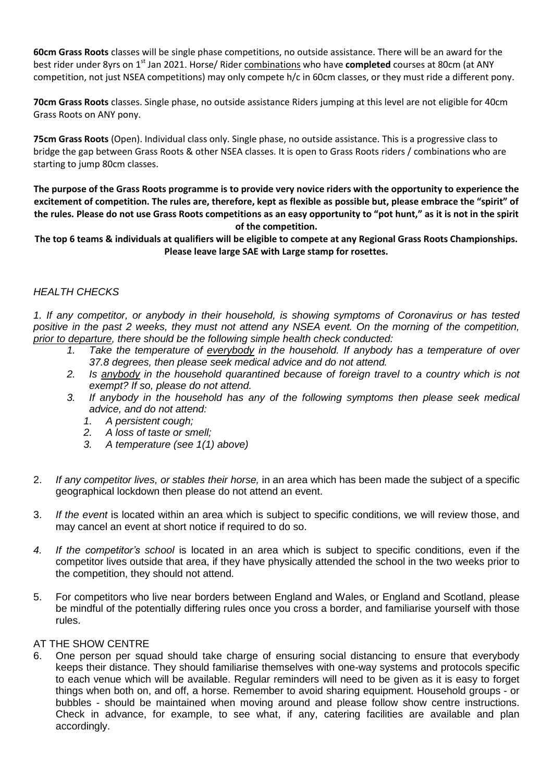**60cm Grass Roots** classes will be single phase competitions, no outside assistance. There will be an award for the best rider under 8yrs on 1st Jan 2021. Horse/ Rider combinations who have **completed** courses at 80cm (at ANY competition, not just NSEA competitions) may only compete h/c in 60cm classes, or they must ride a different pony.

**70cm Grass Roots** classes. Single phase, no outside assistance Riders jumping at this level are not eligible for 40cm Grass Roots on ANY pony.

**75cm Grass Roots** (Open). Individual class only. Single phase, no outside assistance. This is a progressive class to bridge the gap between Grass Roots & other NSEA classes. It is open to Grass Roots riders / combinations who are starting to jump 80cm classes.

**The purpose of the Grass Roots programme is to provide very novice riders with the opportunity to experience the excitement of competition. The rules are, therefore, kept as flexible as possible but, please embrace the "spirit" of the rules. Please do not use Grass Roots competitions as an easy opportunity to "pot hunt," as it is not in the spirit of the competition.**

**The top 6 teams & individuals at qualifiers will be eligible to compete at any Regional Grass Roots Championships. Please leave large SAE with Large stamp for rosettes.**

## *HEALTH CHECKS*

*1. If any competitor, or anybody in their household, is showing symptoms of Coronavirus or has tested* positive in the past 2 weeks, they must not attend any NSEA event. On the morning of the competition, *prior to departure, there should be the following simple health check conducted:*

- *1. Take the temperature of everybody in the household. If anybody has a temperature of over 37.8 degrees, then please seek medical advice and do not attend.*
- *2. Is anybody in the household quarantined because of foreign travel to a country which is not exempt? If so, please do not attend.*
- *3. If anybody in the household has any of the following symptoms then please seek medical advice, and do not attend:*
	- *1. A persistent cough;*
	- *2. A loss of taste or smell;*
	- *3. A temperature (see 1(1) above)*
- 2. *If any competitor lives, or stables their horse,* in an area which has been made the subject of a specific geographical lockdown then please do not attend an event.
- 3. *If the event* is located within an area which is subject to specific conditions, we will review those, and may cancel an event at short notice if required to do so.
- *4. If the competitor's school* is located in an area which is subject to specific conditions, even if the competitor lives outside that area, if they have physically attended the school in the two weeks prior to the competition, they should not attend.
- 5. For competitors who live near borders between England and Wales, or England and Scotland, please be mindful of the potentially differing rules once you cross a border, and familiarise yourself with those rules.

### AT THE SHOW CENTRE

6. One person per squad should take charge of ensuring social distancing to ensure that everybody keeps their distance. They should familiarise themselves with one-way systems and protocols specific to each venue which will be available. Regular reminders will need to be given as it is easy to forget things when both on, and off, a horse. Remember to avoid sharing equipment. Household groups - or bubbles - should be maintained when moving around and please follow show centre instructions. Check in advance, for example, to see what, if any, catering facilities are available and plan accordingly.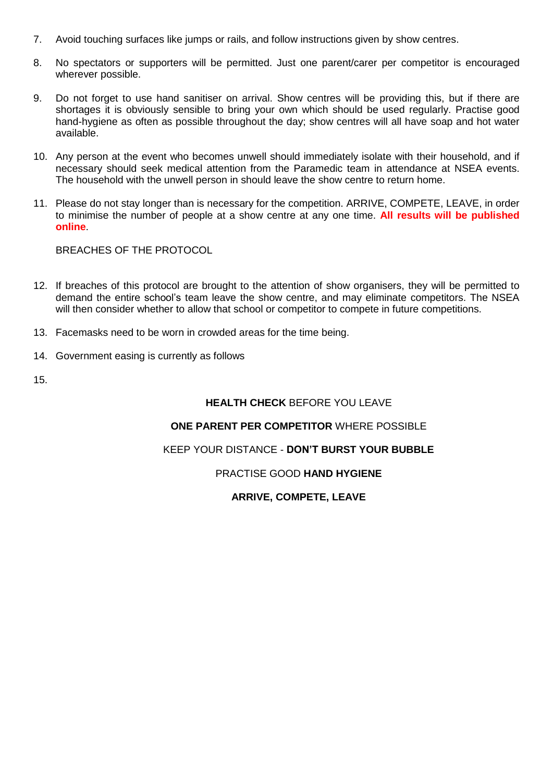- 7. Avoid touching surfaces like jumps or rails, and follow instructions given by show centres.
- 8. No spectators or supporters will be permitted. Just one parent/carer per competitor is encouraged wherever possible.
- 9. Do not forget to use hand sanitiser on arrival. Show centres will be providing this, but if there are shortages it is obviously sensible to bring your own which should be used regularly. Practise good hand-hygiene as often as possible throughout the day; show centres will all have soap and hot water available.
- 10. Any person at the event who becomes unwell should immediately isolate with their household, and if necessary should seek medical attention from the Paramedic team in attendance at NSEA events. The household with the unwell person in should leave the show centre to return home.
- 11. Please do not stay longer than is necessary for the competition. ARRIVE, COMPETE, LEAVE, in order to minimise the number of people at a show centre at any one time. **All results will be published online**.

BREACHES OF THE PROTOCOL

- 12. If breaches of this protocol are brought to the attention of show organisers, they will be permitted to demand the entire school's team leave the show centre, and may eliminate competitors. The NSEA will then consider whether to allow that school or competitor to compete in future competitions.
- 13. Facemasks need to be worn in crowded areas for the time being.
- 14. Government easing is currently as follows

15.

### **HEALTH CHECK** BEFORE YOU LEAVE

### **ONE PARENT PER COMPETITOR** WHERE POSSIBLE

### KEEP YOUR DISTANCE - **DON'T BURST YOUR BUBBLE**

### PRACTISE GOOD **HAND HYGIENE**

### **ARRIVE, COMPETE, LEAVE**